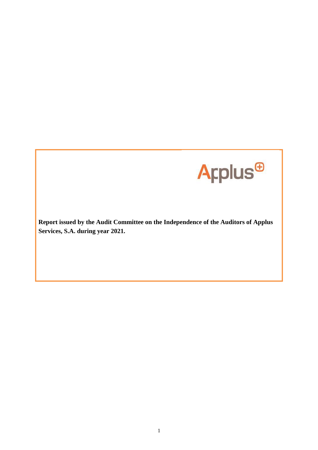

**Report issued by the Audit Committee on the Independence of the Auditors of Applus Services, S.A. during year 2021.**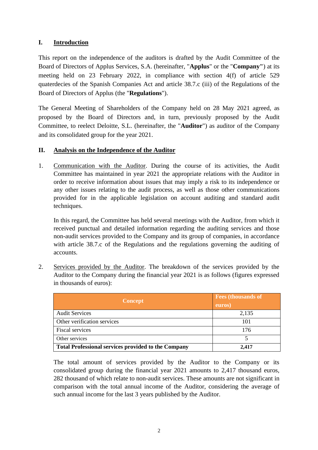## **I. Introduction**

This report on the independence of the auditors is drafted by the Audit Committee of the Board of Directors of Applus Services, S.A. (hereinafter, "**Applus**" or the "**Company"**) at its meeting held on 23 February 2022, in compliance with section 4(f) of article 529 quaterdecies of the Spanish Companies Act and article 38.7.c (iii) of the Regulations of the Board of Directors of Applus (the "**Regulations**").

The General Meeting of Shareholders of the Company held on 28 May 2021 agreed, as proposed by the Board of Directors and, in turn, previously proposed by the Audit Committee, to reelect Deloitte, S.L. (hereinafter, the "**Auditor**") as auditor of the Company and its consolidated group for the year 2021.

## **II. Analysis on the Independence of the Auditor**

1. Communication with the Auditor. During the course of its activities, the Audit Committee has maintained in year 2021 the appropriate relations with the Auditor in order to receive information about issues that may imply a risk to its independence or any other issues relating to the audit process, as well as those other communications provided for in the applicable legislation on account auditing and standard audit techniques.

In this regard, the Committee has held several meetings with the Auditor, from which it received punctual and detailed information regarding the auditing services and those non-audit services provided to the Company and its group of companies, in accordance with article 38.7.c of the Regulations and the regulations governing the auditing of accounts.

2. Services provided by the Auditor. The breakdown of the services provided by the Auditor to the Company during the financial year 2021 is as follows (figures expressed in thousands of euros):

| <b>Concept</b>                                             | <b>Fees (thousands of</b><br>euros) |
|------------------------------------------------------------|-------------------------------------|
| <b>Audit Services</b>                                      | 2,135                               |
| Other verification services                                | 101                                 |
| Fiscal services                                            | 176                                 |
| Other services                                             |                                     |
| <b>Total Professional services provided to the Company</b> | 2,417                               |

The total amount of services provided by the Auditor to the Company or its consolidated group during the financial year 2021 amounts to 2,417 thousand euros, 282 thousand of which relate to non-audit services. These amounts are not significant in comparison with the total annual income of the Auditor, considering the average of such annual income for the last 3 years published by the Auditor.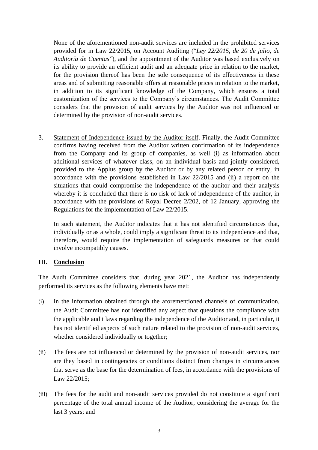None of the aforementioned non-audit services are included in the prohibited services provided for in Law 22/2015, on Account Auditing ("*Ley 22/2015, de 20 de julio, de Auditoría de Cuentas*"), and the appointment of the Auditor was based exclusively on its ability to provide an efficient audit and an adequate price in relation to the market, for the provision thereof has been the sole consequence of its effectiveness in these areas and of submitting reasonable offers at reasonable prices in relation to the market, in addition to its significant knowledge of the Company, which ensures a total customization of the services to the Company's circumstances. The Audit Committee considers that the provision of audit services by the Auditor was not influenced or determined by the provision of non-audit services.

3. Statement of Independence issued by the Auditor itself. Finally, the Audit Committee confirms having received from the Auditor written confirmation of its independence from the Company and its group of companies, as well (i) as information about additional services of whatever class, on an individual basis and jointly considered, provided to the Applus group by the Auditor or by any related person or entity, in accordance with the provisions established in Law 22/2015 and (ii) a report on the situations that could compromise the independence of the auditor and their analysis whereby it is concluded that there is no risk of lack of independence of the auditor, in accordance with the provisions of Royal Decree 2/202, of 12 January, approving the Regulations for the implementation of Law 22/2015.

In such statement, the Auditor indicates that it has not identified circumstances that, individually or as a whole, could imply a significant threat to its independence and that, therefore, would require the implementation of safeguards measures or that could involve incompatibly causes.

## **III. Conclusion**

The Audit Committee considers that, during year 2021, the Auditor has independently performed its services as the following elements have met:

- (i) In the information obtained through the aforementioned channels of communication, the Audit Committee has not identified any aspect that questions the compliance with the applicable audit laws regarding the independence of the Auditor and, in particular, it has not identified aspects of such nature related to the provision of non-audit services, whether considered individually or together;
- (ii) The fees are not influenced or determined by the provision of non-audit services, nor are they based in contingencies or conditions distinct from changes in circumstances that serve as the base for the determination of fees, in accordance with the provisions of Law 22/2015;
- (iii) The fees for the audit and non-audit services provided do not constitute a significant percentage of the total annual income of the Auditor, considering the average for the last 3 years; and